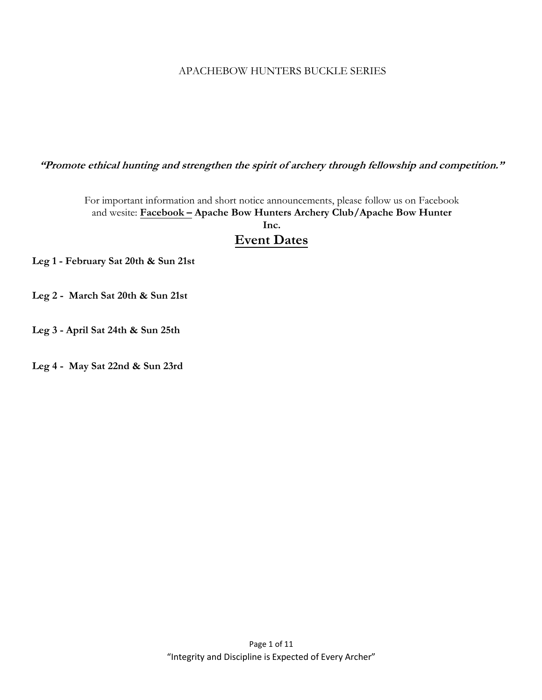### APACHEBOW HUNTERS BUCKLE SERIES

**"Promote ethical hunting and strengthen the spirit of archery through fellowship and competition."**

For important information and short notice announcements, please follow us on Facebook and wesite: **Facebook – Apache Bow Hunters Archery Club/Apache Bow Hunter** 

**Inc.**

# **Event Dates**

**Leg 1 - February Sat 20th & Sun 21st**

- **Leg 2 March Sat 20th & Sun 21st**
- **Leg 3 April Sat 24th & Sun 25th**

**Leg 4 - May Sat 22nd & Sun 23rd**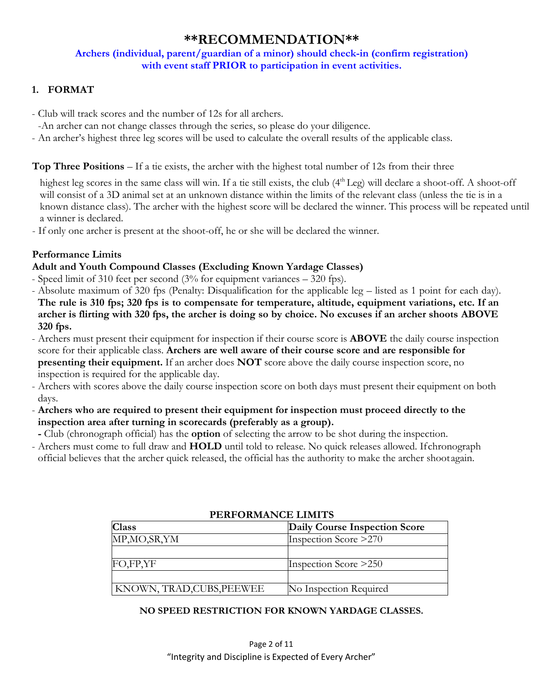# **\*\*RECOMMENDATION\*\***

#### **Archers (individual, parent/guardian of a minor) should check-in (confirm registration) with event staff PRIOR to participation in event activities.**

# **1. FORMAT**

- Club will track scores and the number of 12s for all archers.

-An archer can not change classes through the series, so please do your diligence.

- An archer's highest three leg scores will be used to calculate the overall results of the applicable class.

#### **Top Three Positions** – If a tie exists, the archer with the highest total number of 12s from their three

highest leg scores in the same class will win. If a tie still exists, the club  $(4<sup>th</sup> Leg)$  will declare a shoot-off. A shoot-off will consist of a 3D animal set at an unknown distance within the limits of the relevant class (unless the tie is in a known distance class). The archer with the highest score will be declared the winner. This process will be repeated until a winner is declared.

- If only one archer is present at the shoot-off, he or she will be declared the winner.

### **Performance Limits**

#### **Adult and Youth Compound Classes (Excluding Known Yardage Classes)**

- Speed limit of 310 feet per second (3% for equipment variances 320 fps).
- Absolute maximum of 320 fps (Penalty: Disqualification for the applicable leg listed as 1 point for each day). **The rule is 310 fps; 320 fps is to compensate for temperature, altitude, equipment variations, etc. If an archer is flirting with 320 fps, the archer is doing so by choice. No excuses if an archer shoots ABOVE 320 fps.**
- Archers must present their equipment for inspection if their course score is **ABOVE** the daily course inspection score for their applicable class. **Archers are well aware of their course score and are responsible for presenting their equipment.** If an archer does **NOT** score above the daily course inspection score, no inspection is required for the applicable day.
- Archers with scores above the daily course inspection score on both days must present their equipment on both days.
- **Archers who are required to present their equipment for inspection must proceed directly to the inspection area after turning in scorecards (preferably as a group).**
- **-** Club (chronograph official) has the **option** of selecting the arrow to be shot during the inspection.
- Archers must come to full draw and **HOLD** until told to release. No quick releases allowed. If chronograph official believes that the archer quick released, the official has the authority to make the archer shoot again.

| <b>Class</b>              | Daily Course Inspection Score |
|---------------------------|-------------------------------|
| MP, MO, SR, YM            | Inspection Score >270         |
|                           |                               |
| FO,FP,YF                  | Inspection Score > 250        |
|                           |                               |
| KNOWN, TRAD, CUBS, PEEWEE | No Inspection Required        |

#### **PERFORMANCE LIMITS**

#### **NO SPEED RESTRICTION FOR KNOWN YARDAGE CLASSES.**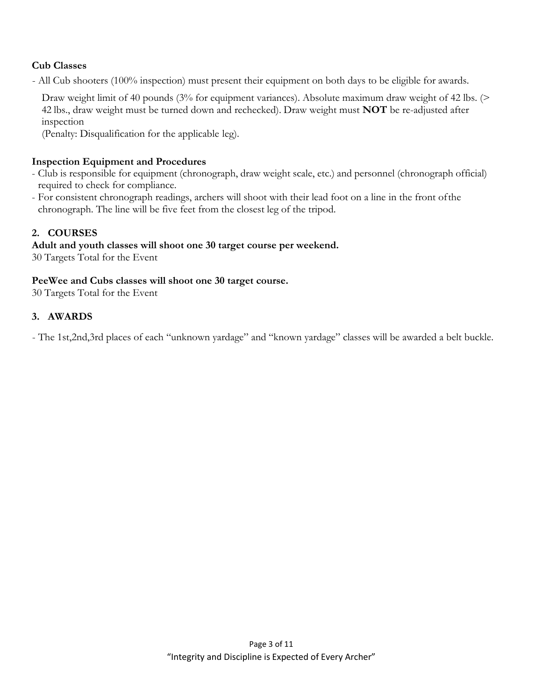### **Cub Classes**

- All Cub shooters (100% inspection) must present their equipment on both days to be eligible for awards.

Draw weight limit of 40 pounds (3% for equipment variances). Absolute maximum draw weight of 42 lbs. (> 42 lbs., draw weight must be turned down and rechecked). Draw weight must **NOT** be re-adjusted after inspection

(Penalty: Disqualification for the applicable leg).

#### **Inspection Equipment and Procedures**

- Club is responsible for equipment (chronograph, draw weight scale, etc.) and personnel (chronograph official) required to check for compliance.
- For consistent chronograph readings, archers will shoot with their lead foot on a line in the front of the chronograph. The line will be five feet from the closest leg of the tripod.

# **2. COURSES**

### **Adult and youth classes will shoot one 30 target course per weekend.**

30 Targets Total for the Event

#### **PeeWee and Cubs classes will shoot one 30 target course.**

30 Targets Total for the Event

### **3. AWARDS**

- The 1st,2nd,3rd places of each "unknown yardage" and "known yardage" classes will be awarded a belt buckle.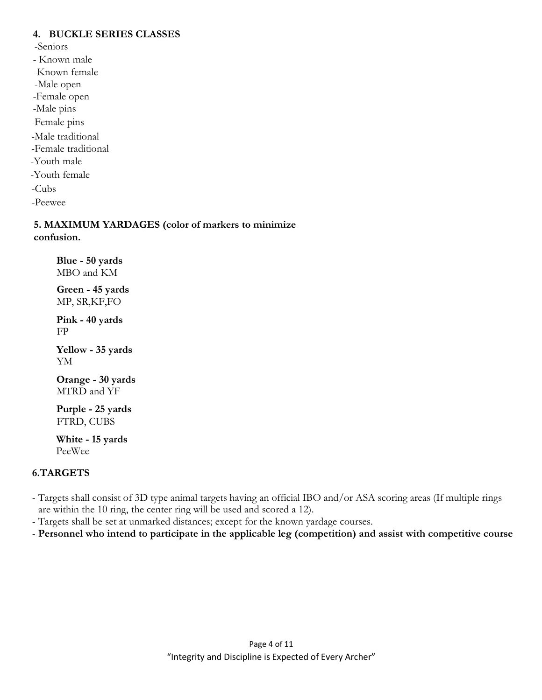#### **4. BUCKLE SERIES CLASSES**

-Seniors

- Known male
- -Known female
- -Male open
- -Female open
- -Male pins
- -Female pins
- -Male traditional
- -Female traditional
- -Youth male
- -Youth female
- -Cubs
- -Peewee

**5. MAXIMUM YARDAGES (color of markers to minimize confusion.**

**Blue - 50 yards**  MBO and KM

**Green - 45 yards**  MP, SR,KF,FO

**Pink - 40 yards**  FP

**Yellow - 35 yards**  YM

**Orange - 30 yards**  MTRD and YF

**Purple - 25 yards**  FTRD, CUBS

**White - 15 yards**  PeeWee

### **6.TARGETS**

- Targets shall consist of 3D type animal targets having an official IBO and/or ASA scoring areas (If multiple rings are within the 10 ring, the center ring will be used and scored a 12).
- Targets shall be set at unmarked distances; except for the known yardage courses.
- **Personnel who intend to participate in the applicable leg (competition) and assist with competitive course**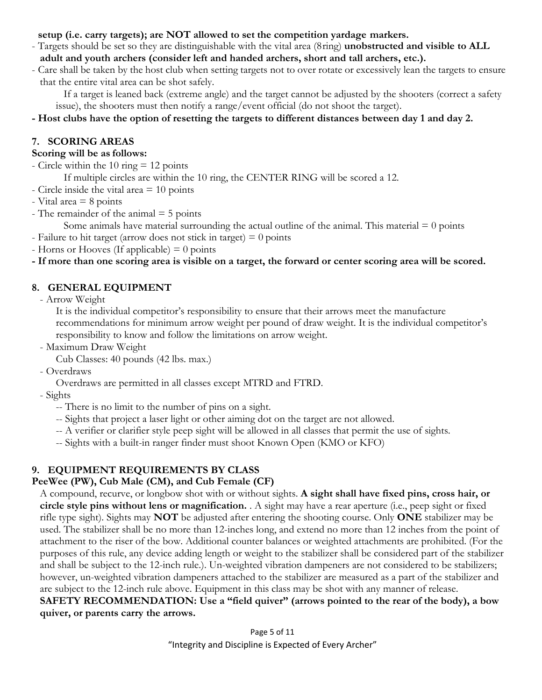#### **setup (i.e. carry targets); are NOT allowed to set the competition yardage markers.**

- Targets should be set so they are distinguishable with the vital area (8 ring) **unobstructed and visible to ALL adult and youth archers (consider left and handed archers, short and tall archers, etc.).**
- Care shall be taken by the host club when setting targets not to over rotate or excessively lean the targets to ensure that the entire vital area can be shot safely.

If a target is leaned back (extreme angle) and the target cannot be adjusted by the shooters (correct a safety issue), the shooters must then notify a range/event official (do not shoot the target).

### **- Host clubs have the option of resetting the targets to different distances between day 1 and day 2.**

# **7. SCORING AREAS**

### **Scoring will be as follows:**

- Circle within the 10 ring  $= 12$  points

If multiple circles are within the 10 ring, the CENTER RING will be scored a 12.

- Circle inside the vital area = 10 points

 $-$  Vital area  $= 8$  points

- The remainder of the animal  $=$  5 points

Some animals have material surrounding the actual outline of the animal. This material  $= 0$  points

- Failure to hit target (arrow does not stick in target)  $= 0$  points

- Horns or Hooves (If applicable)  $= 0$  points

### **- If more than one scoring area is visible on a target, the forward or center scoring area will be scored.**

# **8. GENERAL EQUIPMENT**

- Arrow Weight

It is the individual competitor's responsibility to ensure that their arrows meet the manufacture recommendations for minimum arrow weight per pound of draw weight. It is the individual competitor's responsibility to know and follow the limitations on arrow weight.

- Maximum Draw Weight

```
Cub Classes: 40 pounds (42 lbs. max.)
```
- Overdraws

Overdraws are permitted in all classes except MTRD and FTRD.

- Sights

- -- There is no limit to the number of pins on a sight.
- -- Sights that project a laser light or other aiming dot on the target are not allowed.
- -- A verifier or clarifier style peep sight will be allowed in all classes that permit the use of sights.
- -- Sights with a built-in ranger finder must shoot Known Open (KMO or KFO)

# **9. EQUIPMENT REQUIREMENTS BY CLASS**

# **PeeWee (PW), Cub Male (CM), and Cub Female (CF)**

A compound, recurve, or longbow shot with or without sights. **A sight shall have fixed pins, cross hair, or circle style pins without lens or magnification.** . A sight may have a rear aperture (i.e., peep sight or fixed rifle type sight). Sights may **NOT** be adjusted after entering the shooting course. Only **ONE** stabilizer may be used. The stabilizer shall be no more than 12-inches long, and extend no more than 12 inches from the point of attachment to the riser of the bow. Additional counter balances or weighted attachments are prohibited. (For the purposes of this rule, any device adding length or weight to the stabilizer shall be considered part of the stabilizer and shall be subject to the 12-inch rule.). Un-weighted vibration dampeners are not considered to be stabilizers; however, un-weighted vibration dampeners attached to the stabilizer are measured as a part of the stabilizer and are subject to the 12-inch rule above. Equipment in this class may be shot with any manner of release. **SAFETY RECOMMENDATION: Use a "field quiver" (arrows pointed to the rear of the body), a bow** 

# **quiver, or parents carry the arrows.**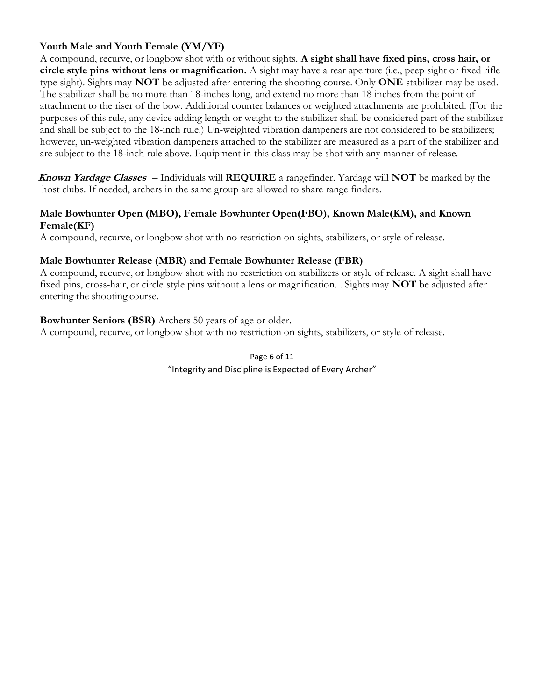### **Youth Male and Youth Female (YM/YF)**

A compound, recurve, or longbow shot with or without sights. **A sight shall have fixed pins, cross hair, or circle style pins without lens or magnification.** A sight may have a rear aperture (i.e., peep sight or fixed rifle type sight). Sights may **NOT** be adjusted after entering the shooting course. Only **ONE** stabilizer may be used. The stabilizer shall be no more than 18-inches long, and extend no more than 18 inches from the point of attachment to the riser of the bow. Additional counter balances or weighted attachments are prohibited. (For the purposes of this rule, any device adding length or weight to the stabilizer shall be considered part of the stabilizer and shall be subject to the 18-inch rule.) Un-weighted vibration dampeners are not considered to be stabilizers; however, un-weighted vibration dampeners attached to the stabilizer are measured as a part of the stabilizer and are subject to the 18-inch rule above. Equipment in this class may be shot with any manner of release.

**Known Yardage Classes** – Individuals will **REQUIRE** a rangefinder. Yardage will **NOT** be marked by the host clubs. If needed, archers in the same group are allowed to share range finders.

#### **Male Bowhunter Open (MBO), Female Bowhunter Open(FBO), Known Male(KM), and Known Female(KF)**

A compound, recurve, or longbow shot with no restriction on sights, stabilizers, or style of release.

#### **Male Bowhunter Release (MBR) and Female Bowhunter Release (FBR)**

A compound, recurve, or longbow shot with no restriction on stabilizers or style of release. A sight shall have fixed pins, cross-hair, or circle style pins without a lens or magnification. . Sights may **NOT** be adjusted after entering the shooting course.

#### **Bowhunter Seniors (BSR)** Archers 50 years of age or older.

A compound, recurve, or longbow shot with no restriction on sights, stabilizers, or style of release.

### Page 6 of 11 "Integrity and Discipline is Expected of Every Archer"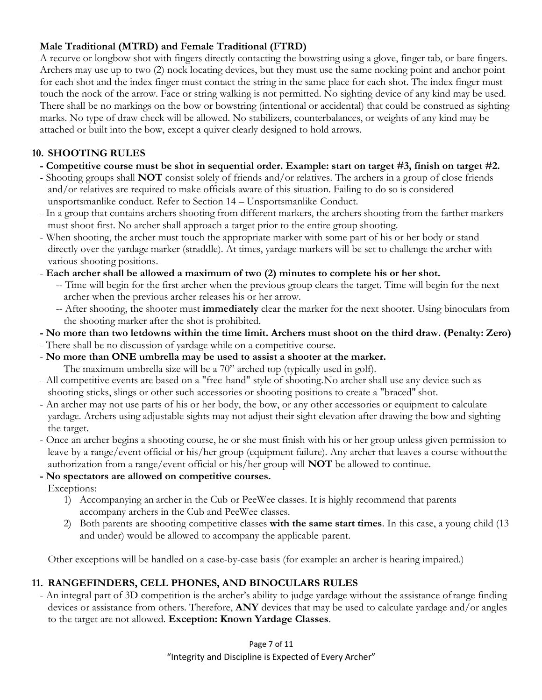### **Male Traditional (MTRD) and Female Traditional (FTRD)**

A recurve or longbow shot with fingers directly contacting the bowstring using a glove, finger tab, or bare fingers. Archers may use up to two (2) nock locating devices, but they must use the same nocking point and anchor point for each shot and the index finger must contact the string in the same place for each shot. The index finger must touch the nock of the arrow. Face or string walking is not permitted. No sighting device of any kind may be used. There shall be no markings on the bow or bowstring (intentional or accidental) that could be construed as sighting marks. No type of draw check will be allowed. No stabilizers, counterbalances, or weights of any kind may be attached or built into the bow, except a quiver clearly designed to hold arrows.

# **10. SHOOTING RULES**

- **Competitive course must be shot in sequential order. Example: start on target #3, finish on target #2.**
- Shooting groups shall **NOT** consist solely of friends and/or relatives. The archers in a group of close friends and/or relatives are required to make officials aware of this situation. Failing to do so is considered unsportsmanlike conduct. Refer to Section 14 – Unsportsmanlike Conduct.
- In a group that contains archers shooting from different markers, the archers shooting from the farther markers must shoot first. No archer shall approach a target prior to the entire group shooting.
- When shooting, the archer must touch the appropriate marker with some part of his or her body or stand directly over the yardage marker (straddle). At times, yardage markers will be set to challenge the archer with various shooting positions.
- **Each archer shall be allowed a maximum of two (2) minutes to complete his or her shot.**
	- -- Time will begin for the first archer when the previous group clears the target. Time will begin for the next archer when the previous archer releases his or her arrow.
	- -- After shooting, the shooter must **immediately** clear the marker for the next shooter. Using binoculars from the shooting marker after the shot is prohibited.
- **No more than two letdowns within the time limit. Archers must shoot on the third draw. (Penalty: Zero)**
- There shall be no discussion of yardage while on a competitive course.
- **No more than ONE umbrella may be used to assist a shooter at the marker.**
	- The maximum umbrella size will be a 70" arched top (typically used in golf).
- All competitive events are based on a "free-hand" style of shooting. No archer shall use any device such as shooting sticks, slings or other such accessories or shooting positions to create a "braced" shot.
- An archer may not use parts of his or her body, the bow, or any other accessories or equipment to calculate yardage. Archers using adjustable sights may not adjust their sight elevation after drawing the bow and sighting the target.
- Once an archer begins a shooting course, he or she must finish with his or her group unless given permission to leave by a range/event official or his/her group (equipment failure). Any archer that leaves a course without the authorization from a range/event official or his/her group will **NOT** be allowed to continue.
- **No spectators are allowed on competitive courses.**
	- Exceptions:
		- 1) Accompanying an archer in the Cub or PeeWee classes. It is highly recommend that parents accompany archers in the Cub and PeeWee classes.
		- 2) Both parents are shooting competitive classes **with the same start times**. In this case, a young child (13 and under) would be allowed to accompany the applicable parent.

Other exceptions will be handled on a case-by-case basis (for example: an archer is hearing impaired.)

# **11. RANGEFINDERS, CELL PHONES, AND BINOCULARS RULES**

- An integral part of 3D competition is the archer's ability to judge yardage without the assistance of range finding devices or assistance from others. Therefore, **ANY** devices that may be used to calculate yardage and/or angles to the target are not allowed. **Exception: Known Yardage Classes**.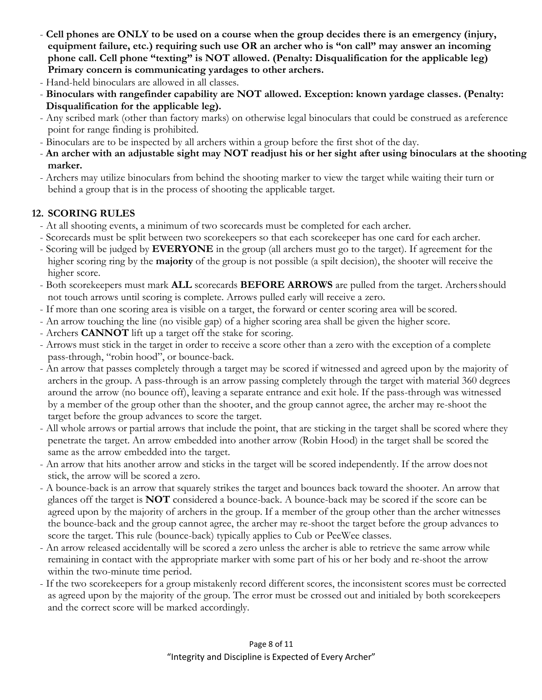- **Cell phones are ONLY to be used on a course when the group decides there is an emergency (injury, equipment failure, etc.) requiring such use OR an archer who is "on call" may answer an incoming phone call. Cell phone "texting" is NOT allowed. (Penalty: Disqualification for the applicable leg) Primary concern is communicating yardages to other archers.**
- Hand-held binoculars are allowed in all classes.
- **Binoculars with rangefinder capability are NOT allowed. Exception: known yardage classes. (Penalty: Disqualification for the applicable leg).**
- Any scribed mark (other than factory marks) on otherwise legal binoculars that could be construed as a reference point for range finding is prohibited.
- Binoculars are to be inspected by all archers within a group before the first shot of the day.
- **An archer with an adjustable sight may NOT readjust his or her sight after using binoculars at the shooting marker.**
- Archers may utilize binoculars from behind the shooting marker to view the target while waiting their turn or behind a group that is in the process of shooting the applicable target.

# **12. SCORING RULES**

- At all shooting events, a minimum of two scorecards must be completed for each archer.
- Scorecards must be split between two scorekeepers so that each scorekeeper has one card for each archer.
- Scoring will be judged by **EVERYONE** in the group (all archers must go to the target). If agreement for the higher scoring ring by the **majority** of the group is not possible (a spilt decision), the shooter will receive the higher score.
- Both scorekeepers must mark **ALL** scorecards **BEFORE ARROWS** are pulled from the target. Archers should not touch arrows until scoring is complete. Arrows pulled early will receive a zero.
- If more than one scoring area is visible on a target, the forward or center scoring area will be scored.
- An arrow touching the line (no visible gap) of a higher scoring area shall be given the higher score.
- Archers **CANNOT** lift up a target off the stake for scoring.
- Arrows must stick in the target in order to receive a score other than a zero with the exception of a complete pass-through, "robin hood", or bounce-back.
- An arrow that passes completely through a target may be scored if witnessed and agreed upon by the majority of archers in the group. A pass-through is an arrow passing completely through the target with material 360 degrees around the arrow (no bounce off), leaving a separate entrance and exit hole. If the pass-through was witnessed by a member of the group other than the shooter, and the group cannot agree, the archer may re-shoot the target before the group advances to score the target.
- All whole arrows or partial arrows that include the point, that are sticking in the target shall be scored where they penetrate the target. An arrow embedded into another arrow (Robin Hood) in the target shall be scored the same as the arrow embedded into the target.
- An arrow that hits another arrow and sticks in the target will be scored independently. If the arrow does not stick, the arrow will be scored a zero.
- A bounce-back is an arrow that squarely strikes the target and bounces back toward the shooter. An arrow that glances off the target is **NOT** considered a bounce-back. A bounce-back may be scored if the score can be agreed upon by the majority of archers in the group. If a member of the group other than the archer witnesses the bounce-back and the group cannot agree, the archer may re-shoot the target before the group advances to score the target. This rule (bounce-back) typically applies to Cub or PeeWee classes.
- An arrow released accidentally will be scored a zero unless the archer is able to retrieve the same arrow while remaining in contact with the appropriate marker with some part of his or her body and re-shoot the arrow within the two-minute time period.
- If the two scorekeepers for a group mistakenly record different scores, the inconsistent scores must be corrected as agreed upon by the majority of the group. The error must be crossed out and initialed by both scorekeepers and the correct score will be marked accordingly.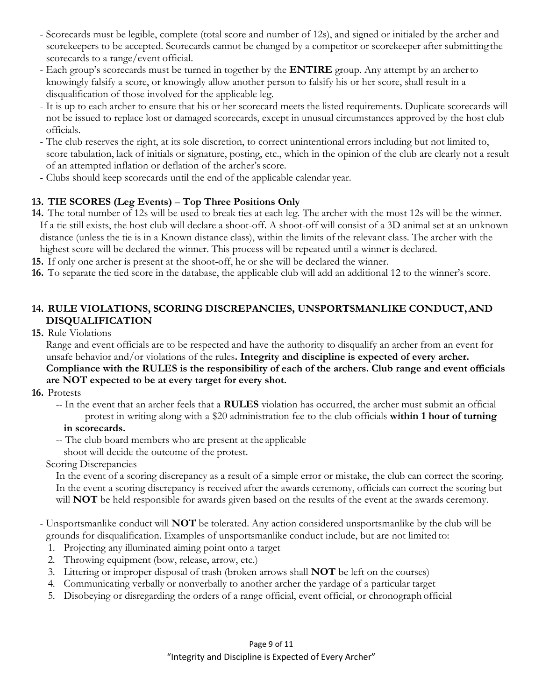- Scorecards must be legible, complete (total score and number of 12s), and signed or initialed by the archer and scorekeepers to be accepted. Scorecards cannot be changed by a competitor or scorekeeper after submitting the scorecards to a range/event official.
- Each group's scorecards must be turned in together by the **ENTIRE** group. Any attempt by an archer to knowingly falsify a score, or knowingly allow another person to falsify his or her score, shall result in a disqualification of those involved for the applicable leg.
- It is up to each archer to ensure that his or her scorecard meets the listed requirements. Duplicate scorecards will not be issued to replace lost or damaged scorecards, except in unusual circumstances approved by the host club officials.
- The club reserves the right, at its sole discretion, to correct unintentional errors including but not limited to, score tabulation, lack of initials or signature, posting, etc., which in the opinion of the club are clearly not a result of an attempted inflation or deflation of the archer's score.
- Clubs should keep scorecards until the end of the applicable calendar year.

# **13. TIE SCORES (Leg Events)** – **Top Three Positions Only**

- **14.** The total number of 12s will be used to break ties at each leg. The archer with the most 12s will be the winner. If a tie still exists, the host club will declare a shoot-off. A shoot-off will consist of a 3D animal set at an unknown distance (unless the tie is in a Known distance class), within the limits of the relevant class. The archer with the highest score will be declared the winner. This process will be repeated until a winner is declared.
- **15.** If only one archer is present at the shoot-off, he or she will be declared the winner.
- **16.** To separate the tied score in the database, the applicable club will add an additional 12 to the winner's score.

# **14. RULE VIOLATIONS, SCORING DISCREPANCIES, UNSPORTSMANLIKE CONDUCT, AND DISQUALIFICATION**

**15.** Rule Violations

Range and event officials are to be respected and have the authority to disqualify an archer from an event for unsafe behavior and/or violations of the rules**. Integrity and discipline is expected of every archer.** 

### **Compliance with the RULES is the responsibility of each of the archers. Club range and event officials are NOT expected to be at every target for every shot.**

- **16.** Protests
	- -- In the event that an archer feels that a **RULES** violation has occurred, the archer must submit an official protest in writing along with a \$20 administration fee to the club officials **within 1 hour of turning**

### **in scorecards.**

- -- The club board members who are present at the applicable
- shoot will decide the outcome of the protest.
- Scoring Discrepancies

In the event of a scoring discrepancy as a result of a simple error or mistake, the club can correct the scoring. In the event a scoring discrepancy is received after the awards ceremony, officials can correct the scoring but will **NOT** be held responsible for awards given based on the results of the event at the awards ceremony.

- Unsportsmanlike conduct will **NOT** be tolerated. Any action considered unsportsmanlike by the club will be grounds for disqualification. Examples of unsportsmanlike conduct include, but are not limited to:
	- 1. Projecting any illuminated aiming point onto a target
	- 2. Throwing equipment (bow, release, arrow, etc.)
	- 3. Littering or improper disposal of trash (broken arrows shall **NOT** be left on the courses)
	- 4. Communicating verbally or nonverbally to another archer the yardage of a particular target
	- 5. Disobeying or disregarding the orders of a range official, event official, or chronograph official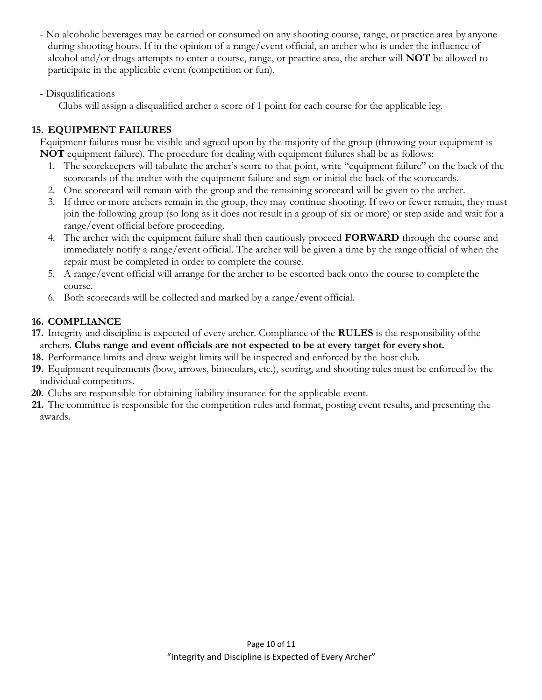- No alcoholic beverages may be carried or consumed on any shooting course, range, or practice area by anyone during shooting hours. If in the opinion of a range/event official, an archer who is under the influence of alcohol and/or drugs attempts to enter a course, range, or practice area, the archer will **NOT** be allowed to participate in the applicable event (competition or fun).
- Disqualifications

Clubs will assign a disqualified archer a score of 1 point for each course for the applicable leg.

# **15. EQUIPMENT FAILURES**

Equipment failures must be visible and agreed upon by the majority of the group (throwing your equipment is **NOT** equipment failure). The procedure for dealing with equipment failures shall be as follows:

- 1. The scorekeepers will tabulate the archer's score to that point, write "equipment failure" on the back of the scorecards of the archer with the equipment failure and sign or initial the back of the scorecards.
- 2. One scorecard will remain with the group and the remaining scorecard will be given to the archer.
- 3. If three or more archers remain in the group, they may continue shooting. If two or fewer remain, they must join the following group (so long as it does not result in a group of six or more) or step aside and wait for a range/event official before proceeding.
- 4. The archer with the equipment failure shall then cautiously proceed **FORWARD** through the course and immediately notify a range/event official. The archer will be given a time by the range official of when the repair must be completed in order to complete the course.
- 5. A range/event official will arrange for the archer to be escorted back onto the course to complete the course.
- 6. Both scorecards will be collected and marked by a range/event official.

# **16. COMPLIANCE**

- **17.** Integrity and discipline is expected of every archer. Compliance of the **RULES** is the responsibility of the archers. **Clubs range and event officials are not expected to be at every target for every shot.**
- **18.** Performance limits and draw weight limits will be inspected and enforced by the host club.
- **19.** Equipment requirements (bow, arrows, binoculars, etc.), scoring, and shooting rules must be enforced by the individual competitors.
- **20.** Clubs are responsible for obtaining liability insurance for the applicable event.
- **21.** The committee is responsible for the competition rules and format, posting event results, and presenting the awards.